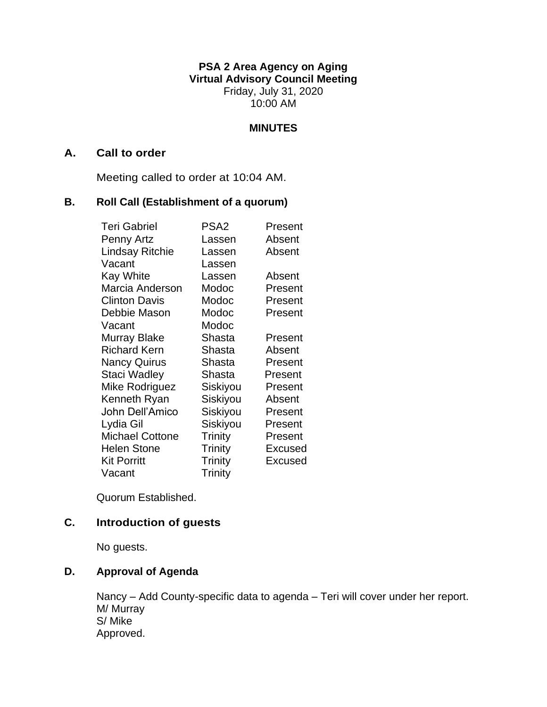**PSA 2 Area Agency on Aging Virtual Advisory Council Meeting** Friday, July 31, 2020 10:00 AM

## **MINUTES**

### **A. Call to order**

Meeting called to order at 10:04 AM.

## **B. Roll Call (Establishment of a quorum)**

| Teri Gabriel           | PSA <sub>2</sub> | Present |
|------------------------|------------------|---------|
| Penny Artz             | Lassen           | Absent  |
| <b>Lindsay Ritchie</b> | Lassen           | Absent  |
| Vacant                 | Lassen           |         |
| <b>Kay White</b>       | Lassen           | Absent  |
| Marcia Anderson        | Modoc            | Present |
| <b>Clinton Davis</b>   | Modoc            | Present |
| Debbie Mason           | Modoc            | Present |
| Vacant                 | Modoc            |         |
| Murray Blake           | Shasta           | Present |
| <b>Richard Kern</b>    | Shasta           | Absent  |
| Nancy Quirus           | Shasta           | Present |
| Staci Wadley           | Shasta           | Present |
| Mike Rodriguez         | Siskiyou         | Present |
| Kenneth Ryan           | Siskiyou         | Absent  |
| John Dell'Amico        | Siskiyou         | Present |
| Lydia Gil              | Siskiyou         | Present |
| <b>Michael Cottone</b> | Trinity          | Present |
| <b>Helen Stone</b>     | <b>Trinity</b>   | Excused |
| <b>Kit Porritt</b>     | <b>Trinity</b>   | Excused |
| Vacant                 | <b>Trinity</b>   |         |

Quorum Established.

# **C. Introduction of guests**

No guests.

# **D. Approval of Agenda**

Nancy – Add County-specific data to agenda – Teri will cover under her report. M/ Murray S/ Mike Approved.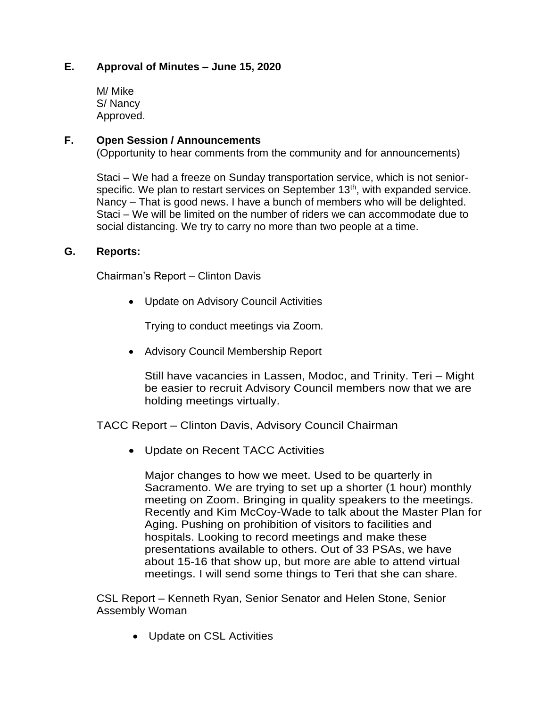# **E. Approval of Minutes – June 15, 2020**

M/ Mike S/ Nancy Approved.

# **F. Open Session / Announcements**

(Opportunity to hear comments from the community and for announcements)

Staci – We had a freeze on Sunday transportation service, which is not seniorspecific. We plan to restart services on September 13<sup>th</sup>, with expanded service. Nancy – That is good news. I have a bunch of members who will be delighted. Staci – We will be limited on the number of riders we can accommodate due to social distancing. We try to carry no more than two people at a time.

#### **G. Reports:**

Chairman's Report – Clinton Davis

• Update on Advisory Council Activities

Trying to conduct meetings via Zoom.

• Advisory Council Membership Report

Still have vacancies in Lassen, Modoc, and Trinity. Teri – Might be easier to recruit Advisory Council members now that we are holding meetings virtually.

TACC Report – Clinton Davis, Advisory Council Chairman

• Update on Recent TACC Activities

Major changes to how we meet. Used to be quarterly in Sacramento. We are trying to set up a shorter (1 hour) monthly meeting on Zoom. Bringing in quality speakers to the meetings. Recently and Kim McCoy-Wade to talk about the Master Plan for Aging. Pushing on prohibition of visitors to facilities and hospitals. Looking to record meetings and make these presentations available to others. Out of 33 PSAs, we have about 15-16 that show up, but more are able to attend virtual meetings. I will send some things to Teri that she can share.

CSL Report – Kenneth Ryan, Senior Senator and Helen Stone, Senior Assembly Woman

• Update on CSL Activities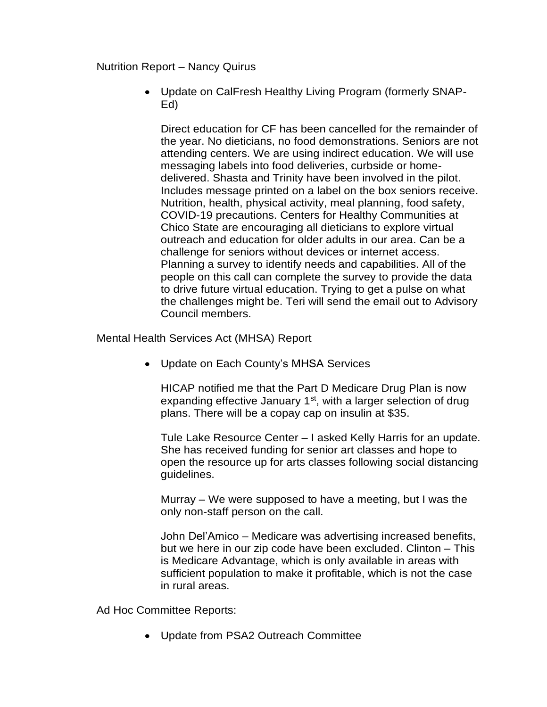# Nutrition Report – Nancy Quirus

• Update on CalFresh Healthy Living Program (formerly SNAP-Ed)

Direct education for CF has been cancelled for the remainder of the year. No dieticians, no food demonstrations. Seniors are not attending centers. We are using indirect education. We will use messaging labels into food deliveries, curbside or homedelivered. Shasta and Trinity have been involved in the pilot. Includes message printed on a label on the box seniors receive. Nutrition, health, physical activity, meal planning, food safety, COVID-19 precautions. Centers for Healthy Communities at Chico State are encouraging all dieticians to explore virtual outreach and education for older adults in our area. Can be a challenge for seniors without devices or internet access. Planning a survey to identify needs and capabilities. All of the people on this call can complete the survey to provide the data to drive future virtual education. Trying to get a pulse on what the challenges might be. Teri will send the email out to Advisory Council members.

Mental Health Services Act (MHSA) Report

• Update on Each County's MHSA Services

HICAP notified me that the Part D Medicare Drug Plan is now expanding effective January  $1<sup>st</sup>$ , with a larger selection of drug plans. There will be a copay cap on insulin at \$35.

Tule Lake Resource Center – I asked Kelly Harris for an update. She has received funding for senior art classes and hope to open the resource up for arts classes following social distancing guidelines.

Murray – We were supposed to have a meeting, but I was the only non-staff person on the call.

John Del'Amico – Medicare was advertising increased benefits, but we here in our zip code have been excluded. Clinton – This is Medicare Advantage, which is only available in areas with sufficient population to make it profitable, which is not the case in rural areas.

Ad Hoc Committee Reports:

• Update from PSA2 Outreach Committee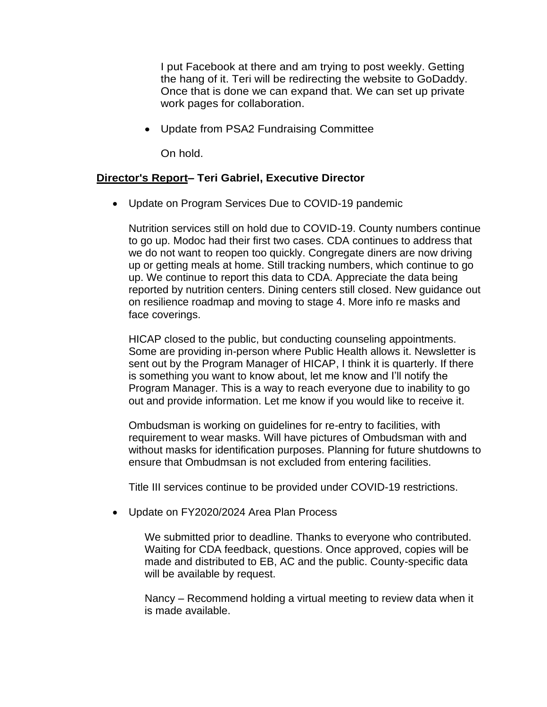I put Facebook at there and am trying to post weekly. Getting the hang of it. Teri will be redirecting the website to GoDaddy. Once that is done we can expand that. We can set up private work pages for collaboration.

• Update from PSA2 Fundraising Committee

On hold.

### **Director's Report– Teri Gabriel, Executive Director**

• Update on Program Services Due to COVID-19 pandemic

Nutrition services still on hold due to COVID-19. County numbers continue to go up. Modoc had their first two cases. CDA continues to address that we do not want to reopen too quickly. Congregate diners are now driving up or getting meals at home. Still tracking numbers, which continue to go up. We continue to report this data to CDA. Appreciate the data being reported by nutrition centers. Dining centers still closed. New guidance out on resilience roadmap and moving to stage 4. More info re masks and face coverings.

HICAP closed to the public, but conducting counseling appointments. Some are providing in-person where Public Health allows it. Newsletter is sent out by the Program Manager of HICAP, I think it is quarterly. If there is something you want to know about, let me know and I'll notify the Program Manager. This is a way to reach everyone due to inability to go out and provide information. Let me know if you would like to receive it.

Ombudsman is working on guidelines for re-entry to facilities, with requirement to wear masks. Will have pictures of Ombudsman with and without masks for identification purposes. Planning for future shutdowns to ensure that Ombudmsan is not excluded from entering facilities.

Title III services continue to be provided under COVID-19 restrictions.

• Update on FY2020/2024 Area Plan Process

We submitted prior to deadline. Thanks to everyone who contributed. Waiting for CDA feedback, questions. Once approved, copies will be made and distributed to EB, AC and the public. County-specific data will be available by request.

Nancy – Recommend holding a virtual meeting to review data when it is made available.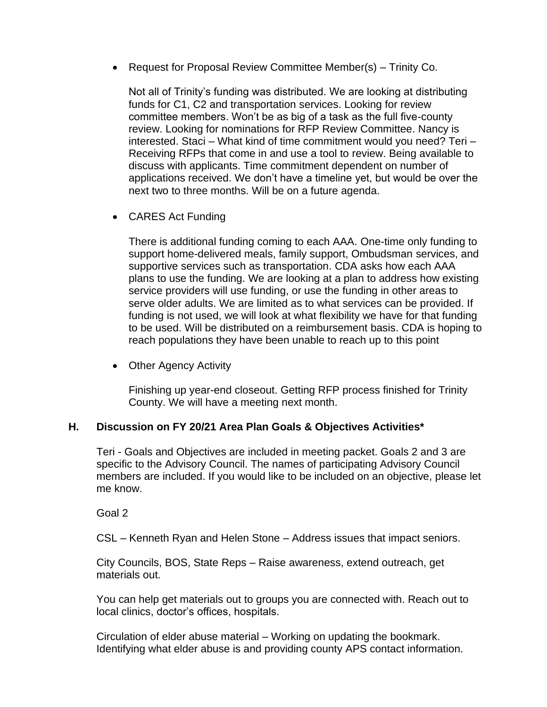• Request for Proposal Review Committee Member(s) – Trinity Co.

Not all of Trinity's funding was distributed. We are looking at distributing funds for C1, C2 and transportation services. Looking for review committee members. Won't be as big of a task as the full five-county review. Looking for nominations for RFP Review Committee. Nancy is interested. Staci – What kind of time commitment would you need? Teri – Receiving RFPs that come in and use a tool to review. Being available to discuss with applicants. Time commitment dependent on number of applications received. We don't have a timeline yet, but would be over the next two to three months. Will be on a future agenda.

• CARES Act Funding

There is additional funding coming to each AAA. One-time only funding to support home-delivered meals, family support, Ombudsman services, and supportive services such as transportation. CDA asks how each AAA plans to use the funding. We are looking at a plan to address how existing service providers will use funding, or use the funding in other areas to serve older adults. We are limited as to what services can be provided. If funding is not used, we will look at what flexibility we have for that funding to be used. Will be distributed on a reimbursement basis. CDA is hoping to reach populations they have been unable to reach up to this point

• Other Agency Activity

Finishing up year-end closeout. Getting RFP process finished for Trinity County. We will have a meeting next month.

# **H. Discussion on FY 20/21 Area Plan Goals & Objectives Activities\***

Teri - Goals and Objectives are included in meeting packet. Goals 2 and 3 are specific to the Advisory Council. The names of participating Advisory Council members are included. If you would like to be included on an objective, please let me know.

Goal 2

CSL – Kenneth Ryan and Helen Stone – Address issues that impact seniors.

City Councils, BOS, State Reps – Raise awareness, extend outreach, get materials out.

You can help get materials out to groups you are connected with. Reach out to local clinics, doctor's offices, hospitals.

Circulation of elder abuse material – Working on updating the bookmark. Identifying what elder abuse is and providing county APS contact information.